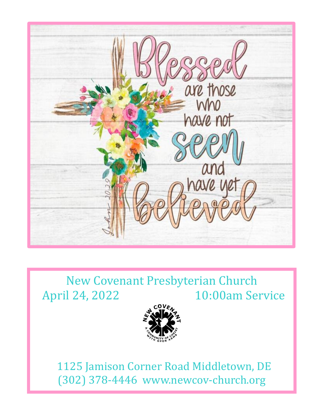

# New Covenant Presbyterian Church April 24, 2022 10:00am Service



 1125 Jamison Corner Road Middletown, DE (302) 378-4446 www.newcov-church.org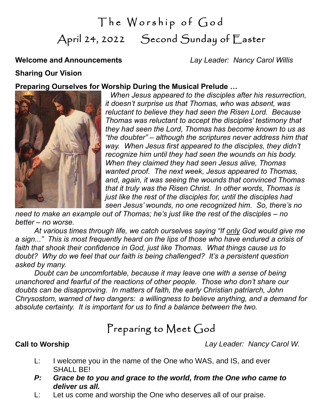# The Worship of God April 24, 2022 Second Sunday of Easter

#### **Welcome and Announcements** *Lay Leader: Nancy Carol Willis*

#### **Sharing Our Vision**

#### **Preparing Ourselves for Worship During the Musical Prelude …**



*When Jesus appeared to the disciples after his resurrection, it doesn't surprise us that Thomas, who was absent, was reluctant to believe they had seen the Risen Lord. Because Thomas was reluctant to accept the disciples' testimony that they had seen the Lord, Thomas has become known to us as "the doubter" – although the scriptures never address him that way. When Jesus first appeared to the disciples, they didn't recognize him until they had seen the wounds on his body. When they claimed they had seen Jesus alive, Thomas wanted proof. The next week, Jesus appeared to Thomas, and, again, it was seeing the wounds that convinced Thomas that it truly was the Risen Christ. In other words, Thomas is just like the rest of the disciples for, until the disciples had seen Jesus' wounds, no one recognized him. So, there's no* 

*need to make an example out of Thomas; he's just like the rest of the disciples – no better – no worse.*

*At various times through life, we catch ourselves saying "If only God would give me a sign..." This is most frequently heard on the lips of those who have endured a crisis of*  faith that shook their confidence in God, just like Thomas. What things cause us to *doubt? Why do we feel that our faith is being challenged? It's a persistent question asked by many.*

*Doubt can be uncomfortable, because it may leave one with a sense of being unanchored and fearful of the reactions of other people. Those who don't share our doubts can be disapproving. In matters of faith, the early Christian patriarch, John Chrysostom, warned of two dangers: a willingness to believe anything, and a demand for absolute certainty. It is important for us to find a balance between the two.*

## Preparing to Meet God

**Call to Worship** *Lay Leader: Nancy Carol W.*

- L: I welcome you in the name of the One who WAS, and IS, and ever SHALL BE!
- *P: Grace be to you and grace to the world, from the One who came to deliver us all.*
- L: Let us come and worship the One who deserves all of our praise.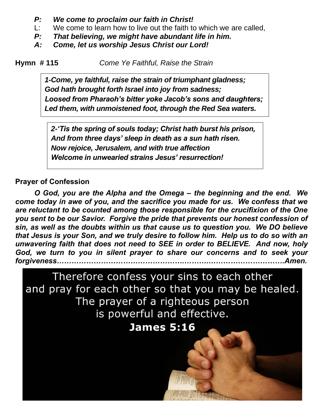- *P: We come to proclaim our faith in Christ!*
- L: We come to learn how to live out the faith to which we are called,
- *P: That believing, we might have abundant life in him.*
- *A: Come, let us worship Jesus Christ our Lord!*

**Hymn # 115** *Come Ye Faithful, Raise the Strain*

*1-Come, ye faithful, raise the strain of triumphant gladness; God hath brought forth Israel into joy from sadness; Loosed from Pharaoh's bitter yoke Jacob's sons and daughters; Led them, with unmoistened foot, through the Red Sea waters.*

*2-'Tis the spring of souls today; Christ hath burst his prison, And from three days' sleep in death as a sun hath risen. Now rejoice, Jerusalem, and with true affection Welcome in unwearied strains Jesus' resurrection!*

### **Prayer of Confession**

*O God, you are the Alpha and the Omega – the beginning and the end. We come today in awe of you, and the sacrifice you made for us. We confess that we are reluctant to be counted among those responsible for the crucifixion of the One you sent to be our Savior. Forgive the pride that prevents our honest confession of sin, as well as the doubts within us that cause us to question you. We DO believe that Jesus is your Son, and we truly desire to follow him. Help us to do so with an unwavering faith that does not need to SEE in order to BELIEVE. And now, holy God, we turn to you in silent prayer to share our concerns and to seek your forgiveness…………………………………………….……….………………………….Amen.*

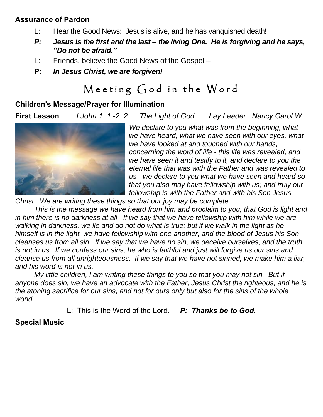#### **Assurance of Pardon**

- L: Hear the Good News: Jesus is alive, and he has vanquished death!
- *P: Jesus is the first and the last – the living One. He is forgiving and he says, "Do not be afraid."*
- L: Friends, believe the Good News of the Gospel –
- **P:** *In Jesus Christ, we are forgiven!*

### Meeting God in the Word

### **Children's Message/Prayer for Illumination**

**First Lesson** *I John 1: 1 -2: 2 The Light of God Lay Leader: Nancy Carol W.* 



*We declare to you what was from the beginning, what we have heard, what we have seen with our eyes, what we have looked at and touched with our hands, concerning the word of life - this life was revealed, and we have seen it and testify to it, and declare to you the eternal life that was with the Father and was revealed to us - we declare to you what we have seen and heard so that you also may have fellowship with us; and truly our fellowship is with the Father and with his Son Jesus* 

*Christ. We are writing these things so that our joy may be complete.*

*This is the message we have heard from him and proclaim to you, that God is light and in him there is no darkness at all. If we say that we have fellowship with him while we are walking in darkness, we lie and do not do what is true; but if we walk in the light as he himself is in the light, we have fellowship with one another, and the blood of Jesus his Son cleanses us from all sin. If we say that we have no sin, we deceive ourselves, and the truth is not in us. If we confess our sins, he who is faithful and just will forgive us our sins and cleanse us from all unrighteousness. If we say that we have not sinned, we make him a liar, and his word is not in us.*

*My little children, I am writing these things to you so that you may not sin. But if anyone does sin, we have an advocate with the Father, Jesus Christ the righteous; and he is the atoning sacrifice for our sins, and not for ours only but also for the sins of the whole world.*

L: This is the Word of the Lord. *P: Thanks be to God.*

#### **Special Music**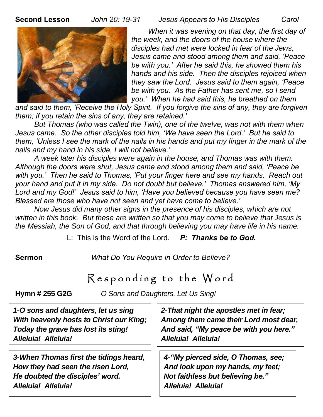**Second Lesson** *John 20: 19-31 Jesus Appears to His Disciples Carol*



*When it was evening on that day, the first day of the week, and the doors of the house where the disciples had met were locked in fear of the Jews, Jesus came and stood among them and said, 'Peace be with you.' After he said this, he showed them his hands and his side. Then the disciples rejoiced when they saw the Lord. Jesus said to them again, 'Peace be with you. As the Father has sent me, so I send you.' When he had said this, he breathed on them* 

*and said to them, 'Receive the Holy Spirit. If you forgive the sins of any, they are forgiven them; if you retain the sins of any, they are retained.'*

*But Thomas (who was called the Twin), one of the twelve, was not with them when Jesus came. So the other disciples told him, 'We have seen the Lord.' But he said to them, 'Unless I see the mark of the nails in his hands and put my finger in the mark of the nails and my hand in his side, I will not believe.'*

*A week later his disciples were again in the house, and Thomas was with them. Although the doors were shut, Jesus came and stood among them and said, 'Peace be with you.' Then he said to Thomas, 'Put your finger here and see my hands. Reach out your hand and put it in my side. Do not doubt but believe.' Thomas answered him, 'My Lord and my God!' Jesus said to him, 'Have you believed because you have seen me? Blessed are those who have not seen and yet have come to believe.'*

*Now Jesus did many other signs in the presence of his disciples, which are not written in this book. But these are written so that you may come to believe that Jesus is the Messiah, the Son of God, and that through believing you may have life in his name.*

L: This is the Word of the Lord. *P: Thanks be to God.*

**Sermon** *What Do You Require in Order to Believe?*

### Responding to the Word

**Hymn # 255 G2G** *O Sons and Daughters, Let Us Sing!*

| 1-O sons and daughters, let us sing     | 2-That night the apostles met in fear; |
|-----------------------------------------|----------------------------------------|
| With heavenly hosts to Christ our King; | Among them came their Lord most dear,  |
| Today the grave has lost its sting!     | And said, "My peace be with you here." |
| <b>Alleluia! Alleluia!</b>              | <b>Alleluia! Alleluia!</b>             |
| 3-When Thomas first the tidings heard,  | 4-"My pierced side, O Thomas, see;     |
| How they had seen the risen Lord,       | And look upon my hands, my feet;       |
| He doubted the disciples' word.         | Not faithless but believing be."       |
| <b>Alleluia! Alleluia!</b>              | <b>Alleluia! Alleluia!</b>             |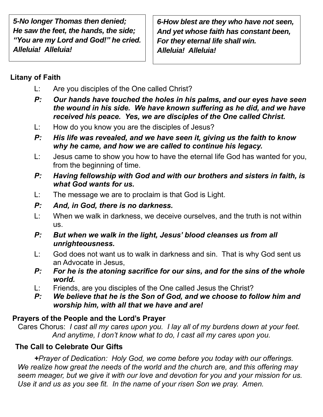*5-No longer Thomas then denied; He saw the feet, the hands, the side; "You are my Lord and God!" he cried. Alleluia! Alleluia!*

*6-How blest are they who have not seen, And yet whose faith has constant been, For they eternal life shall win. Alleluia! Alleluia!*

#### **Litany of Faith**

- L: Are you disciples of the One called Christ?
- *P: Our hands have touched the holes in his palms, and our eyes have seen the wound in his side. We have known suffering as he did, and we have received his peace. Yes, we are disciples of the One called Christ.*
- L: How do you know you are the disciples of Jesus?
- *P: His life was revealed, and we have seen it, giving us the faith to know why he came, and how we are called to continue his legacy.*
- L: Jesus came to show you how to have the eternal life God has wanted for you, from the beginning of time.
- *P: Having fellowship with God and with our brothers and sisters in faith, is what God wants for us.*
- L: The message we are to proclaim is that God is Light.
- *P: And, in God, there is no darkness.*
- L: When we walk in darkness, we deceive ourselves, and the truth is not within us.
- *P: But when we walk in the light, Jesus' blood cleanses us from all unrighteousness.*
- L: God does not want us to walk in darkness and sin. That is why God sent us an Advocate in Jesus,
- *P: For he is the atoning sacrifice for our sins, and for the sins of the whole world.*
- L: Friends, are you disciples of the One called Jesus the Christ?
- *P: We believe that he is the Son of God, and we choose to follow him and worship him, with all that we have and are!*

#### **Prayers of the People and the Lord's Prayer**

Cares Chorus: *I cast all my cares upon you. I lay all of my burdens down at your feet. And anytime, I don't know what to do, I cast all my cares upon you.*

#### **The Call to Celebrate Our Gifts**

*+Prayer of Dedication: Holy God, we come before you today with our offerings. We realize how great the needs of the world and the church are, and this offering may seem meager, but we give it with our love and devotion for you and your mission for us. Use it and us as you see fit. In the name of your risen Son we pray. Amen.*